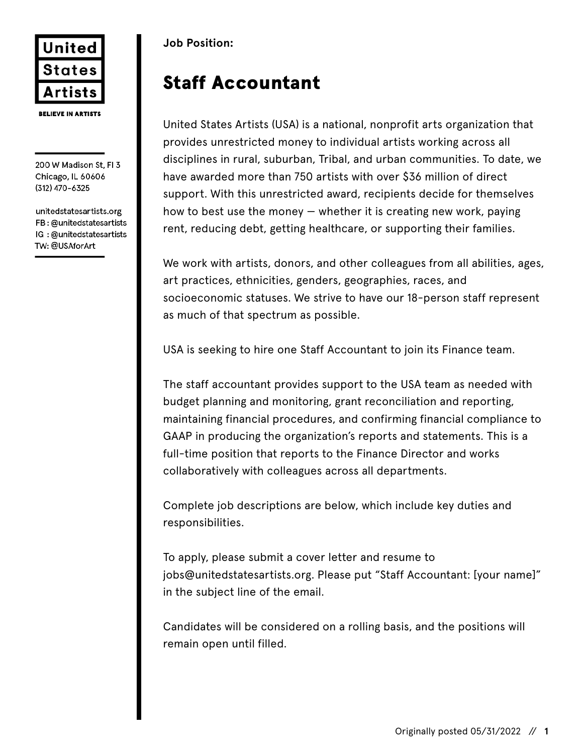

200 W Madison St, FI 3 Chicago, IL 60606 (312) 470-6325

unitedstatesartists.org FB: @unitedstatesartists IG: @unitedstatesartists TW: @USAforArt

## **Job Position:**

# Staff Accountant

United States Artists (USA) is a national, nonprofit arts organization that provides unrestricted money to individual artists working across all disciplines in rural, suburban, Tribal, and urban communities. To date, we have awarded more than 750 artists with over \$36 million of direct support. With this unrestricted award, recipients decide for themselves how to best use the money  $-$  whether it is creating new work, paying rent, reducing debt, getting healthcare, or supporting their families.

We work with artists, donors, and other colleagues from all abilities, ages, art practices, ethnicities, genders, geographies, races, and socioeconomic statuses. We strive to have our 18-person staff represent as much of that spectrum as possible.

USA is seeking to hire one Staff Accountant to join its Finance team.

The staff accountant provides support to the USA team as needed with budget planning and monitoring, grant reconciliation and reporting, maintaining financial procedures, and confirming financial compliance to GAAP in producing the organization's reports and statements. This is a full-time position that reports to the Finance Director and works collaboratively with colleagues across all departments.

Complete job descriptions are below, which include key duties and responsibilities.

To apply, please submit a cover letter and resume to jobs@unitedstatesartists.org. Please put "Staff Accountant: [your name]" in the subject line of the email.

Candidates will be considered on a rolling basis, and the positions will remain open until filled.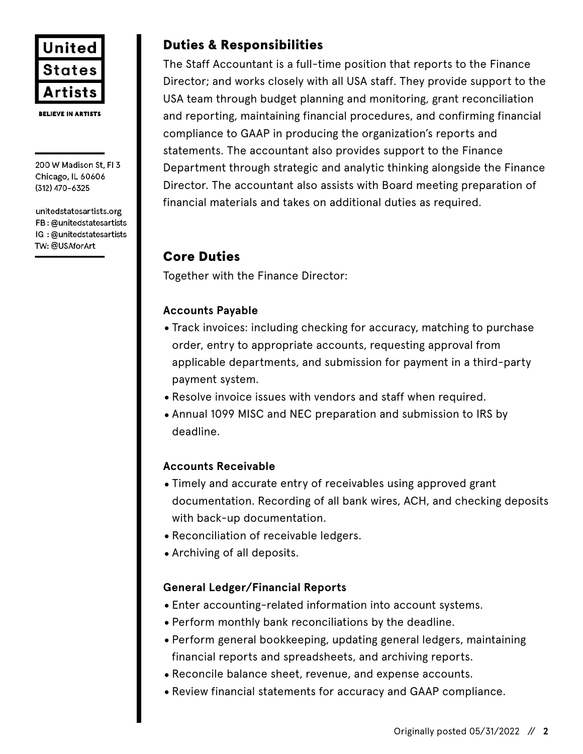

**BELIEVE IN ARTISTS** 

200 W Madison St, FI 3 Chicago, IL 60606 (312) 470-6325

unitedstatesartists.org FB: @unitedstatesartists IG: @unitedstatesartists TW: @USAforArt

# Duties & Responsibilities

The Staff Accountant is a full-time position that reports to the Finance Director; and works closely with all USA staff. They provide support to the USA team through budget planning and monitoring, grant reconciliation and reporting, maintaining financial procedures, and confirming financial compliance to GAAP in producing the organization's reports and statements. The accountant also provides support to the Finance Department through strategic and analytic thinking alongside the Finance Director. The accountant also assists with Board meeting preparation of financial materials and takes on additional duties as required.

# Core Duties

Together with the Finance Director:

#### **Accounts Payable**

- •Track invoices: including checking for accuracy, matching to purchase order, entry to appropriate accounts, requesting approval from applicable departments, and submission for payment in a third-party payment system.
- •Resolve invoice issues with vendors and staff when required.
- •Annual 1099 MISC and NEC preparation and submission to IRS by deadline.

#### **Accounts Receivable**

- •Timely and accurate entry of receivables using approved grant documentation. Recording of all bank wires, ACH, and checking deposits with back-up documentation.
- •Reconciliation of receivable ledgers.
- •Archiving of all deposits.

#### **General Ledger/Financial Reports**

- •Enter accounting-related information into account systems.
- •Perform monthly bank reconciliations by the deadline.
- •Perform general bookkeeping, updating general ledgers, maintaining financial reports and spreadsheets, and archiving reports.
- •Reconcile balance sheet, revenue, and expense accounts.
- •Review financial statements for accuracy and GAAP compliance.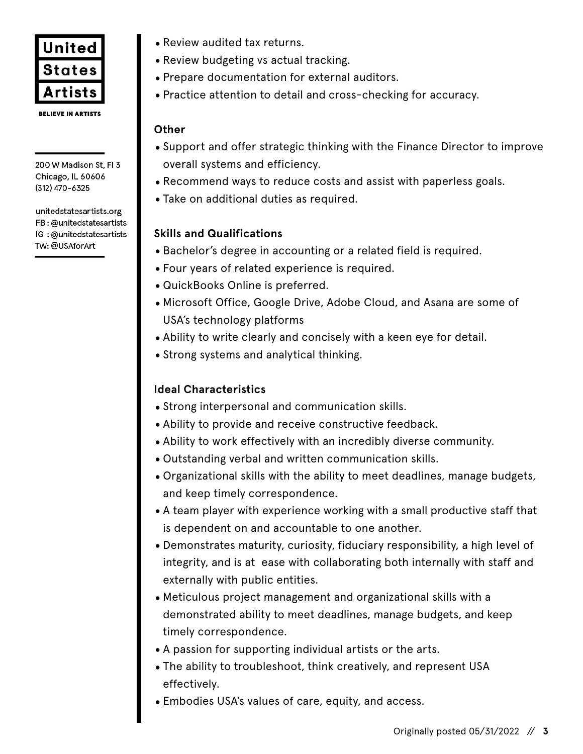

200 W Madison St, FI 3 Chicago, IL 60606 (312) 470-6325

unitedstatesartists.org FB: @unitedstatesartists IG: @unitedstatesartists TW: @USAforArt

- •Review audited tax returns.
- •Review budgeting vs actual tracking.
- •Prepare documentation for external auditors.
- •Practice attention to detail and cross-checking for accuracy.

#### **Other**

- •Support and offer strategic thinking with the Finance Director to improve overall systems and efficiency.
- •Recommend ways to reduce costs and assist with paperless goals.
- •Take on additional duties as required.

#### **Skills and Qualifications**

- •Bachelor's degree in accounting or a related field is required.
- •Four years of related experience is required.
- •QuickBooks Online is preferred.
- •Microsoft Office, Google Drive, Adobe Cloud, and Asana are some of USA's technology platforms
- •Ability to write clearly and concisely with a keen eye for detail.
- •Strong systems and analytical thinking.

### **Ideal Characteristics**

- •Strong interpersonal and communication skills.
- •Ability to provide and receive constructive feedback.
- •Ability to work effectively with an incredibly diverse community.
- •Outstanding verbal and written communication skills.
- •Organizational skills with the ability to meet deadlines, manage budgets, and keep timely correspondence.
- •A team player with experience working with a small productive staff that is dependent on and accountable to one another.
- •Demonstrates maturity, curiosity, fiduciary responsibility, a high level of integrity, and is at ease with collaborating both internally with staff and externally with public entities.
- •Meticulous project management and organizational skills with a demonstrated ability to meet deadlines, manage budgets, and keep timely correspondence.
- •A passion for supporting individual artists or the arts.
- •The ability to troubleshoot, think creatively, and represent USA effectively.
- •Embodies USA's values of care, equity, and access.